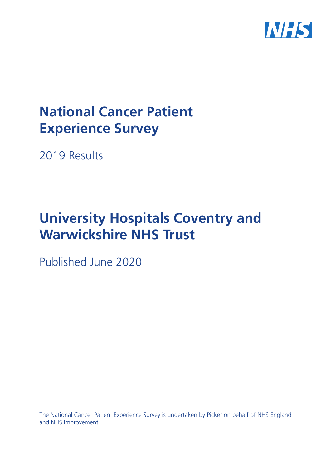

# **National Cancer Patient Experience Survey**

2019 Results

# **University Hospitals Coventry and Warwickshire NHS Trust**

Published June 2020

The National Cancer Patient Experience Survey is undertaken by Picker on behalf of NHS England and NHS Improvement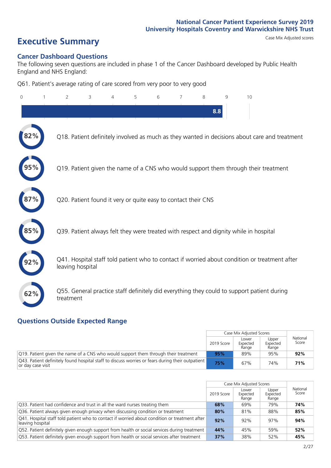# **Executive Summary** Case Mix Adjusted scores

### **Cancer Dashboard Questions**

The following seven questions are included in phase 1 of the Cancer Dashboard developed by Public Health England and NHS England:

Q61. Patient's average rating of care scored from very poor to very good

| $\Omega$ | $\overline{2}$                                                | 3 | 4 | 5 | 6 | 7 | 8   | 9 | 10                                                                                            |
|----------|---------------------------------------------------------------|---|---|---|---|---|-----|---|-----------------------------------------------------------------------------------------------|
|          |                                                               |   |   |   |   |   | 8.8 |   |                                                                                               |
|          |                                                               |   |   |   |   |   |     |   | Q18. Patient definitely involved as much as they wanted in decisions about care and treatment |
|          |                                                               |   |   |   |   |   |     |   | Q19. Patient given the name of a CNS who would support them through their treatment           |
|          | Q20. Patient found it very or quite easy to contact their CNS |   |   |   |   |   |     |   |                                                                                               |
|          |                                                               |   |   |   |   |   |     |   | Q39. Patient always felt they were treated with respect and dignity while in hospital         |
|          | leaving hospital                                              |   |   |   |   |   |     |   | Q41. Hospital staff told patient who to contact if worried about condition or treatment after |
| 62%      | treatment                                                     |   |   |   |   |   |     |   | Q55. General practice staff definitely did everything they could to support patient during    |

### **Questions Outside Expected Range**

|                                                                                                                       |            | Case Mix Adjusted Scores   |                            |                   |
|-----------------------------------------------------------------------------------------------------------------------|------------|----------------------------|----------------------------|-------------------|
|                                                                                                                       | 2019 Score | Lower<br>Expected<br>Range | Upper<br>Expected<br>Range | National<br>Score |
| Q19. Patient given the name of a CNS who would support them through their treatment                                   | 95%        | 89%                        | 95%                        | 92%               |
| O43. Patient definitely found hospital staff to discuss worries or fears during their outpatient<br>or day case visit | 75%        | 67%                        | 74%                        | 71%               |

|                                                                                                                   |            | Case Mix Adjusted Scores   |                            |                   |
|-------------------------------------------------------------------------------------------------------------------|------------|----------------------------|----------------------------|-------------------|
|                                                                                                                   | 2019 Score | Lower<br>Expected<br>Range | Upper<br>Expected<br>Range | National<br>Score |
| 033. Patient had confidence and trust in all the ward nurses treating them                                        | 68%        | 69%                        | 79%                        | 74%               |
| Q36. Patient always given enough privacy when discussing condition or treatment                                   | 80%        | 81%                        | 88%                        | 85%               |
| Q41. Hospital staff told patient who to contact if worried about condition or treatment after<br>leaving hospital | 92%        | 92%                        | 97%                        | 94%               |
| Q52. Patient definitely given enough support from health or social services during treatment                      | 44%        | 45%                        | 59%                        | 52%               |
| Q53. Patient definitely given enough support from health or social services after treatment                       | 37%        | 38%                        | 52%                        | 45%               |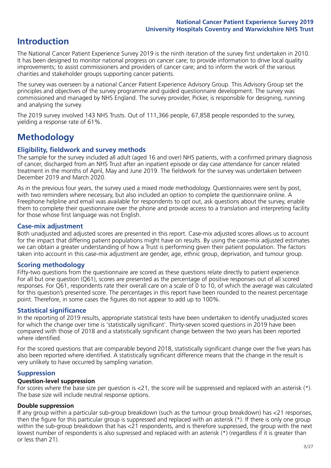# **Introduction**

The National Cancer Patient Experience Survey 2019 is the ninth iteration of the survey first undertaken in 2010. It has been designed to monitor national progress on cancer care; to provide information to drive local quality improvements; to assist commissioners and providers of cancer care; and to inform the work of the various charities and stakeholder groups supporting cancer patients.

The survey was overseen by a national Cancer Patient Experience Advisory Group. This Advisory Group set the principles and objectives of the survey programme and guided questionnaire development. The survey was commissioned and managed by NHS England. The survey provider, Picker, is responsible for designing, running and analysing the survey.

The 2019 survey involved 143 NHS Trusts. Out of 111,366 people, 67,858 people responded to the survey, yielding a response rate of 61%.

# **Methodology**

### **Eligibility, eldwork and survey methods**

The sample for the survey included all adult (aged 16 and over) NHS patients, with a confirmed primary diagnosis of cancer, discharged from an NHS Trust after an inpatient episode or day case attendance for cancer related treatment in the months of April, May and June 2019. The fieldwork for the survey was undertaken between December 2019 and March 2020.

As in the previous four years, the survey used a mixed mode methodology. Questionnaires were sent by post, with two reminders where necessary, but also included an option to complete the questionnaire online. A Freephone helpline and email was available for respondents to opt out, ask questions about the survey, enable them to complete their questionnaire over the phone and provide access to a translation and interpreting facility for those whose first language was not English.

### **Case-mix adjustment**

Both unadjusted and adjusted scores are presented in this report. Case-mix adjusted scores allows us to account for the impact that differing patient populations might have on results. By using the case-mix adjusted estimates we can obtain a greater understanding of how a Trust is performing given their patient population. The factors taken into account in this case-mix adjustment are gender, age, ethnic group, deprivation, and tumour group.

### **Scoring methodology**

Fifty-two questions from the questionnaire are scored as these questions relate directly to patient experience. For all but one question (Q61), scores are presented as the percentage of positive responses out of all scored responses. For Q61, respondents rate their overall care on a scale of 0 to 10, of which the average was calculated for this question's presented score. The percentages in this report have been rounded to the nearest percentage point. Therefore, in some cases the figures do not appear to add up to 100%.

### **Statistical significance**

In the reporting of 2019 results, appropriate statistical tests have been undertaken to identify unadjusted scores for which the change over time is 'statistically significant'. Thirty-seven scored questions in 2019 have been compared with those of 2018 and a statistically significant change between the two years has been reported where identified.

For the scored questions that are comparable beyond 2018, statistically significant change over the five years has also been reported where identified. A statistically significant difference means that the change in the result is very unlikely to have occurred by sampling variation.

### **Suppression**

### **Question-level suppression**

For scores where the base size per question is  $<$ 21, the score will be suppressed and replaced with an asterisk (\*). The base size will include neutral response options.

### **Double suppression**

If any group within a particular sub-group breakdown (such as the tumour group breakdown) has <21 responses, then the figure for this particular group is suppressed and replaced with an asterisk (\*). If there is only one group within the sub-group breakdown that has <21 respondents, and is therefore suppressed, the group with the next lowest number of respondents is also supressed and replaced with an asterisk (\*) (regardless if it is greater than or less than 21).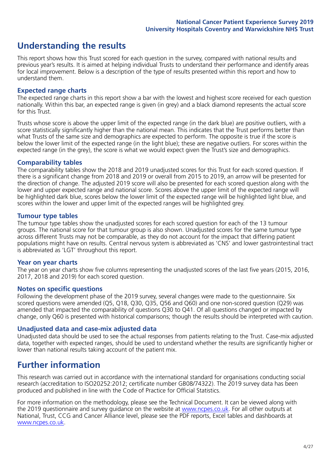## **Understanding the results**

This report shows how this Trust scored for each question in the survey, compared with national results and previous year's results. It is aimed at helping individual Trusts to understand their performance and identify areas for local improvement. Below is a description of the type of results presented within this report and how to understand them.

### **Expected range charts**

The expected range charts in this report show a bar with the lowest and highest score received for each question nationally. Within this bar, an expected range is given (in grey) and a black diamond represents the actual score for this Trust.

Trusts whose score is above the upper limit of the expected range (in the dark blue) are positive outliers, with a score statistically significantly higher than the national mean. This indicates that the Trust performs better than what Trusts of the same size and demographics are expected to perform. The opposite is true if the score is below the lower limit of the expected range (in the light blue); these are negative outliers. For scores within the expected range (in the grey), the score is what we would expect given the Trust's size and demographics.

### **Comparability tables**

The comparability tables show the 2018 and 2019 unadjusted scores for this Trust for each scored question. If there is a significant change from 2018 and 2019 or overall from 2015 to 2019, an arrow will be presented for the direction of change. The adjusted 2019 score will also be presented for each scored question along with the lower and upper expected range and national score. Scores above the upper limit of the expected range will be highlighted dark blue, scores below the lower limit of the expected range will be highlighted light blue, and scores within the lower and upper limit of the expected ranges will be highlighted grey.

### **Tumour type tables**

The tumour type tables show the unadjusted scores for each scored question for each of the 13 tumour groups. The national score for that tumour group is also shown. Unadjusted scores for the same tumour type across different Trusts may not be comparable, as they do not account for the impact that differing patient populations might have on results. Central nervous system is abbreviated as 'CNS' and lower gastrointestinal tract is abbreviated as 'LGT' throughout this report.

### **Year on year charts**

The year on year charts show five columns representing the unadjusted scores of the last five years (2015, 2016, 2017, 2018 and 2019) for each scored question.

### **Notes on specific questions**

Following the development phase of the 2019 survey, several changes were made to the questionnaire. Six scored questions were amended (Q5, Q18, Q30, Q35, Q56 and Q60) and one non-scored question (Q29) was amended that impacted the comparability of questions Q30 to Q41. Of all questions changed or impacted by change, only Q60 is presented with historical comparisons; though the results should be interpreted with caution.

### **Unadjusted data and case-mix adjusted data**

Unadjusted data should be used to see the actual responses from patients relating to the Trust. Case-mix adjusted data, together with expected ranges, should be used to understand whether the results are significantly higher or lower than national results taking account of the patient mix.

### **Further information**

This research was carried out in accordance with the international standard for organisations conducting social research (accreditation to ISO20252:2012; certificate number GB08/74322). The 2019 survey data has been produced and published in line with the Code of Practice for Official Statistics.

For more information on the methodology, please see the Technical Document. It can be viewed along with the 2019 questionnaire and survey quidance on the website at [www.ncpes.co.uk](https://www.ncpes.co.uk/supporting-documents). For all other outputs at National, Trust, CCG and Cancer Alliance level, please see the PDF reports, Excel tables and dashboards at [www.ncpes.co.uk.](https://www.ncpes.co.uk/current-results)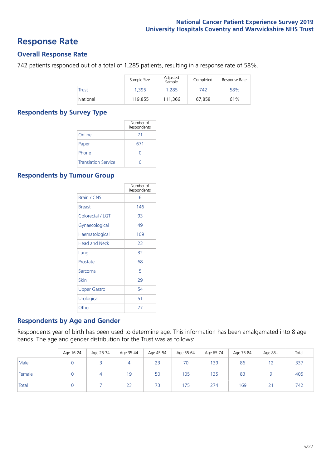### **Response Rate**

### **Overall Response Rate**

742 patients responded out of a total of 1,285 patients, resulting in a response rate of 58%.

|              | Sample Size | Adjusted<br>Sample | Completed | Response Rate |
|--------------|-------------|--------------------|-----------|---------------|
| <b>Trust</b> | 1.395       | 1.285              | 742       | 58%           |
| National     | 119.855     | 111,366            | 67.858    | 61%           |

### **Respondents by Survey Type**

|                            | Number of<br>Respondents |
|----------------------------|--------------------------|
| Online                     | 71                       |
| Paper                      | 671                      |
| Phone                      |                          |
| <b>Translation Service</b> |                          |

### **Respondents by Tumour Group**

|                      | Number of<br>Respondents |
|----------------------|--------------------------|
| Brain / CNS          | 6                        |
| <b>Breast</b>        | 146                      |
| Colorectal / LGT     | 93                       |
| Gynaecological       | 49                       |
| Haematological       | 109                      |
| <b>Head and Neck</b> | 23                       |
| Lung                 | 32                       |
| Prostate             | 68                       |
| Sarcoma              | 5                        |
| Skin                 | 29                       |
| <b>Upper Gastro</b>  | 54                       |
| Urological           | 51                       |
| Other                | 77                       |

### **Respondents by Age and Gender**

Respondents year of birth has been used to determine age. This information has been amalgamated into 8 age bands. The age and gender distribution for the Trust was as follows:

|        | Age 16-24 | Age 25-34 | Age 35-44 | Age 45-54 | Age 55-64 | Age 65-74 | Age 75-84 | Age 85+                  | Total |
|--------|-----------|-----------|-----------|-----------|-----------|-----------|-----------|--------------------------|-------|
| Male   |           |           | 4         | 23        | 70        | 139       | 86        |                          | 337   |
| Female |           |           | 19        | 50        | 105       | 135       | 83        |                          | 405   |
| Total  |           |           | 23        | 73        | 175       | 274       | 169       | $\mathbf{A}$<br><u>_</u> | 742   |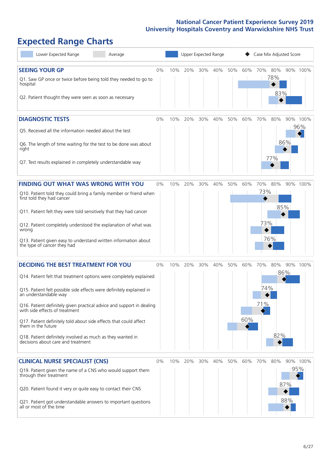# **Expected Range Charts**

| Lower Expected Range<br>Average                                                                                                                                                                                                                                                                                                                                                                                                                                                                                             |       |     | Upper Expected Range |     |     |     |            | Case Mix Adjusted Score |                   |                   |                 |
|-----------------------------------------------------------------------------------------------------------------------------------------------------------------------------------------------------------------------------------------------------------------------------------------------------------------------------------------------------------------------------------------------------------------------------------------------------------------------------------------------------------------------------|-------|-----|----------------------|-----|-----|-----|------------|-------------------------|-------------------|-------------------|-----------------|
| <b>SEEING YOUR GP</b><br>Q1. Saw GP once or twice before being told they needed to go to<br>hospital<br>Q2. Patient thought they were seen as soon as necessary                                                                                                                                                                                                                                                                                                                                                             | 0%    | 10% | 20%                  | 30% | 40% | 50% | 60%        | 70%                     | 80%<br>78%<br>83% |                   | 90% 100%        |
| <b>DIAGNOSTIC TESTS</b><br>Q5. Received all the information needed about the test<br>Q6. The length of time waiting for the test to be done was about<br>right<br>Q7. Test results explained in completely understandable way                                                                                                                                                                                                                                                                                               | 0%    | 10% | 20%                  | 30% | 40% | 50% | 60%        | 70%                     | 80%<br>77%        | 86%               | 90% 100%<br>96% |
| <b>FINDING OUT WHAT WAS WRONG WITH YOU</b><br>Q10. Patient told they could bring a family member or friend when<br>first told they had cancer<br>Q11. Patient felt they were told sensitively that they had cancer<br>Q12. Patient completely understood the explanation of what was<br>wrong<br>Q13. Patient given easy to understand written information about<br>the type of cancer they had                                                                                                                             | $0\%$ | 10% | 20%                  | 30% | 40% | 50% | 60%        | 70%<br>73%<br>73%       | 80%<br>85%<br>76% |                   | 90% 100%        |
| <b>DECIDING THE BEST TREATMENT FOR YOU</b><br>Q14. Patient felt that treatment options were completely explained<br>Q15. Patient felt possible side effects were definitely explained in<br>an understandable way<br>Q16. Patient definitely given practical advice and support in dealing<br>with side effects of treatment<br>Q17. Patient definitely told about side effects that could affect<br>them in the future<br>Q18. Patient definitely involved as much as they wanted in<br>decisions about care and treatment | 0%    | 10% | 20%                  | 30% | 40% | 50% | 60%<br>60% | 70%<br>74%<br>71%       | 80%<br>82%        | 86%               | 90% 100%        |
| <b>CLINICAL NURSE SPECIALIST (CNS)</b><br>Q19. Patient given the name of a CNS who would support them<br>through their treatment<br>Q20. Patient found it very or quite easy to contact their CNS<br>Q21. Patient got understandable answers to important questions<br>all or most of the time                                                                                                                                                                                                                              | 0%    | 10% | 20%                  | 30% | 40% | 50% | 60%        | 70%                     | 80%               | 95%<br>87%<br>88% | 90% 100%        |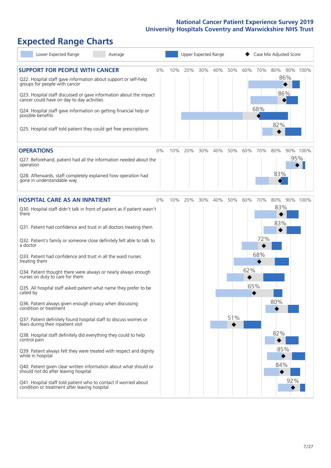# **Expected Range Charts**

| Lower Expected Range<br>Average                                                                                                                                                                                 |    |     |     | Upper Expected Range |     |     |     |         | Case Mix Adjusted Score |          |
|-----------------------------------------------------------------------------------------------------------------------------------------------------------------------------------------------------------------|----|-----|-----|----------------------|-----|-----|-----|---------|-------------------------|----------|
| <b>SUPPORT FOR PEOPLE WITH CANCER</b><br>Q22. Hospital staff gave information about support or self-help<br>groups for people with cancer<br>Q23. Hospital staff discussed or gave information about the impact | 0% | 10% | 20% | 30%                  | 40% | 50% |     | 60% 70% | 80%<br>86%<br>86%       | 90% 100% |
| cancer could have on day to day activities<br>Q24. Hospital staff gave information on getting financial help or<br>possible benefits<br>Q25. Hospital staff told patient they could get free prescriptions      |    |     |     |                      |     |     |     | 68%     | 82%                     |          |
| <b>OPERATIONS</b>                                                                                                                                                                                               | 0% | 10% | 20% | 30%                  | 40% | 50% | 60% | 70%     | 80%                     | 90% 100% |
| Q27. Beforehand, patient had all the information needed about the<br>operation                                                                                                                                  |    |     |     |                      |     |     |     |         |                         | 95%      |
| Q28. Afterwards, staff completely explained how operation had<br>gone in understandable way                                                                                                                     |    |     |     |                      |     |     |     |         | 83%                     |          |
| <b>HOSPITAL CARE AS AN INPATIENT</b>                                                                                                                                                                            | 0% | 10% | 20% | 30%                  | 40% | 50% | 60% | 70%     | 80%                     | 90% 100% |
| Q30. Hospital staff didn't talk in front of patient as if patient wasn't<br>there                                                                                                                               |    |     |     |                      |     |     |     |         | 83%<br>83%              |          |
| Q31. Patient had confidence and trust in all doctors treating them                                                                                                                                              |    |     |     |                      |     |     |     |         |                         |          |
| Q32. Patient's family or someone close definitely felt able to talk to<br>a doctor                                                                                                                              |    |     |     |                      |     |     |     | 72%     |                         |          |
| Q33. Patient had confidence and trust in all the ward nurses<br>treating them                                                                                                                                   |    |     |     |                      |     |     |     | 68%     |                         |          |
| Q34. Patient thought there were always or nearly always enough<br>nurses on duty to care for them                                                                                                               |    |     |     |                      |     |     | 62% |         |                         |          |
| Q35. All hospital staff asked patient what name they prefer to be<br>called by                                                                                                                                  |    |     |     |                      |     |     | 65% |         |                         |          |
| Q36. Patient always given enough privacy when discussing<br>condition or treatment                                                                                                                              |    |     |     |                      |     |     |     |         | 80%                     |          |
| Q37. Patient definitely found hospital staff to discuss worries or<br>fears during their inpatient visit                                                                                                        |    |     |     |                      |     | 51% |     |         |                         |          |
| Q38. Hospital staff definitely did everything they could to help<br>control pain                                                                                                                                |    |     |     |                      |     |     |     |         | 82%                     |          |
| Q39. Patient always felt they were treated with respect and dignity<br>while in hospital                                                                                                                        |    |     |     |                      |     |     |     |         | 85%                     |          |
| Q40. Patient given clear written information about what should or<br>should not do after leaving hospital                                                                                                       |    |     |     |                      |     |     |     |         | 84%                     |          |
| Q41. Hospital staff told patient who to contact if worried about<br>condition or treatment after leaving hospital                                                                                               |    |     |     |                      |     |     |     |         |                         | 92%      |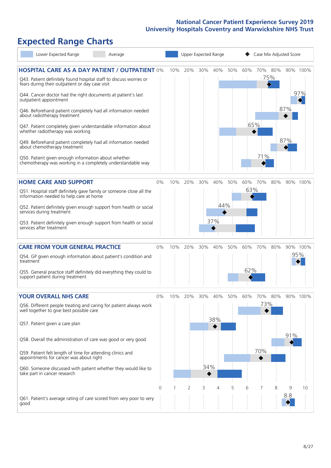# **Expected Range Charts**

| Lower Expected Range<br>Average                                                                                                                                                                                                                                                                                                                                                                                                                             |       |     |     |            | Upper Expected Range |     |            | Case Mix Adjusted Score |     |          |                 |
|-------------------------------------------------------------------------------------------------------------------------------------------------------------------------------------------------------------------------------------------------------------------------------------------------------------------------------------------------------------------------------------------------------------------------------------------------------------|-------|-----|-----|------------|----------------------|-----|------------|-------------------------|-----|----------|-----------------|
| <b>HOSPITAL CARE AS A DAY PATIENT / OUTPATIENT 0%</b><br>Q43. Patient definitely found hospital staff to discuss worries or<br>fears during their outpatient or day case visit<br>Q44. Cancer doctor had the right documents at patient's last<br>outpatient appointment<br>Q46. Beforehand patient completely had all information needed<br>about radiotherapy treatment                                                                                   |       | 10% | 20% | 30%        | 40%                  | 50% | 60%        | 70% 80%                 | 75% | 87%      | 90% 100%<br>97% |
| Q47. Patient completely given understandable information about<br>whether radiotherapy was working<br>Q49. Beforehand patient completely had all information needed<br>about chemotherapy treatment<br>Q50. Patient given enough information about whether<br>chemotherapy was working in a completely understandable way                                                                                                                                   |       |     |     |            |                      |     | 65%        | 71%                     |     | 87%      |                 |
| <b>HOME CARE AND SUPPORT</b><br>Q51. Hospital staff definitely gave family or someone close all the<br>information needed to help care at home<br>Q52. Patient definitely given enough support from health or social<br>services during treatment<br>Q53. Patient definitely given enough support from health or social<br>services after treatment                                                                                                         | 0%    | 10% | 20% | 30%        | 40%<br>44%<br>37%    | 50% | 60%<br>63% | 70%                     | 80% |          | 90% 100%        |
| <b>CARE FROM YOUR GENERAL PRACTICE</b><br>Q54. GP given enough information about patient's condition and<br>treatment<br>Q55. General practice staff definitely did everything they could to<br>support patient during treatment                                                                                                                                                                                                                            | 0%    | 10% | 20% | 30%        | 40%                  | 50% | 60%<br>62% | 70%                     | 80% |          | 90% 100%<br>95% |
| <b>YOUR OVERALL NHS CARE</b><br>Q56. Different people treating and caring for patient always work<br>well together to give best possible care<br>Q57. Patient given a care plan<br>Q58. Overall the administration of care was good or very good<br>Q59. Patient felt length of time for attending clinics and<br>appointments for cancer was about right<br>Q60. Someone discussed with patient whether they would like to<br>take part in cancer research | $0\%$ | 10% | 20% | 30%<br>34% | 40%<br>38%           | 50% | 60%        | 70%<br>73%<br>70%       | 80% | 91%      | 90% 100%        |
| Q61. Patient's average rating of care scored from very poor to very<br>good                                                                                                                                                                                                                                                                                                                                                                                 | 0     |     | 2   | 3          | 4                    | 5   | 6          |                         | 8   | 9<br>8.8 | 10              |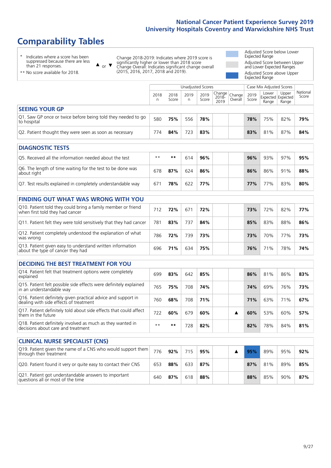# **Comparability Tables**

\* Indicates where a score has been suppressed because there are less than 21 responses.

\*\* No score available for 2018.

 $\triangle$  or  $\nabla$ 

Change 2018-2019: Indicates where 2019 score is significantly higher or lower than 2018 score Change Overall: Indicates significant change overall (2015, 2016, 2017, 2018 and 2019).

Adjusted Score below Lower Expected Range Adjusted Score between Upper and Lower Expected Ranges Adjusted Score above Upper Expected Range

|                                                                             | Case Mix Adjusted Scores<br>Unadjusted Scores |               |           |               |                                                    |         |               |                |                                     |                   |
|-----------------------------------------------------------------------------|-----------------------------------------------|---------------|-----------|---------------|----------------------------------------------------|---------|---------------|----------------|-------------------------------------|-------------------|
|                                                                             | 2018<br>n                                     | 2018<br>Score | 2019<br>n | 2019<br>Score | $\sim$   Change   Change   $\sim$<br>2018-<br>2019 | Overall | 2019<br>Score | Lower<br>Range | Upper<br>Expected Expected<br>Range | National<br>Score |
| <b>SEEING YOUR GP</b>                                                       |                                               |               |           |               |                                                    |         |               |                |                                     |                   |
| Q1. Saw GP once or twice before being told they needed to go<br>to hospital | 580                                           | 75%           | 556       | 78%           |                                                    |         | 78%           | 75%            | 82%                                 | 79%               |
| Q2. Patient thought they were seen as soon as necessary                     | 774                                           | 84%           | 723       | 83%           |                                                    |         | 83%           | 81%            | 87%                                 | 84%               |
|                                                                             |                                               |               |           |               |                                                    |         |               |                |                                     |                   |

| <b>DIAGNOSTIC TESTS</b>                                                   |      |     |     |     |  |     |     |     |     |
|---------------------------------------------------------------------------|------|-----|-----|-----|--|-----|-----|-----|-----|
| O5. Received all the information needed about the test                    | $**$ | **  | 614 | 96% |  | 96% | 93% | 97% | 95% |
| Q6. The length of time waiting for the test to be done was<br>about right | 678  | 87% | 624 | 86% |  | 86% | 86% | 91% | 88% |
| Q7. Test results explained in completely understandable way               | 671  | 78% | 622 | 77% |  | 77% | 77% | 83% | 80% |

| <b>FINDING OUT WHAT WAS WRONG WITH YOU</b>                                                      |     |     |     |     |     |     |     |     |
|-------------------------------------------------------------------------------------------------|-----|-----|-----|-----|-----|-----|-----|-----|
| Q10. Patient told they could bring a family member or friend<br>when first told they had cancer | 712 | 72% | 671 | 72% | 73% | 72% | 82% | 77% |
| Q11. Patient felt they were told sensitively that they had cancer                               | 781 | 83% | 737 | 84% | 85% | 83% | 88% | 86% |
| Q12. Patient completely understood the explanation of what<br>was wrong                         | 786 | 72% | 739 | 73% | 73% | 70% | 77% | 73% |
| Q13. Patient given easy to understand written information<br>about the type of cancer they had  | 696 | 71% | 634 | 75% | 76% | 71% | 78% | 74% |

| <b>DECIDING THE BEST TREATMENT FOR YOU</b>                                                              |      |     |     |     |  |            |     |     |     |
|---------------------------------------------------------------------------------------------------------|------|-----|-----|-----|--|------------|-----|-----|-----|
| Q14. Patient felt that treatment options were completely<br>explained                                   | 699  | 83% | 642 | 85% |  | 86%        | 81% | 86% | 83% |
| Q15. Patient felt possible side effects were definitely explained<br>in an understandable way           | 765  | 75% | 708 | 74% |  | 74%        | 69% | 76% | 73% |
| Q16. Patient definitely given practical advice and support in<br>dealing with side effects of treatment | 760  | 68% | 708 | 71% |  | <b>71%</b> | 63% | 71% | 67% |
| Q17. Patient definitely told about side effects that could affect<br>them in the future                 | 722  | 60% | 679 | 60% |  | 60%        | 53% | 60% | 57% |
| Q18. Patient definitely involved as much as they wanted in<br>decisions about care and treatment        | $**$ | **  | 728 | 82% |  | 82%        | 78% | 84% | 81% |

| <b>CLINICAL NURSE SPECIALIST (CNS)</b>                                                    |     |     |     |     |  |     |     |     |     |
|-------------------------------------------------------------------------------------------|-----|-----|-----|-----|--|-----|-----|-----|-----|
| [Q19. Patient given the name of a CNS who would support them<br>through their treatment   | 776 | 92% | 715 | 95% |  | 95% | 89% | 95% | 92% |
| Q20. Patient found it very or quite easy to contact their CNS                             | 653 | 88% | 633 | 87% |  | 87% | 81% | 89% | 85% |
| Q21. Patient got understandable answers to important<br>questions all or most of the time | 640 | 87% | 618 | 88% |  | 88% | 85% | 90% | 87% |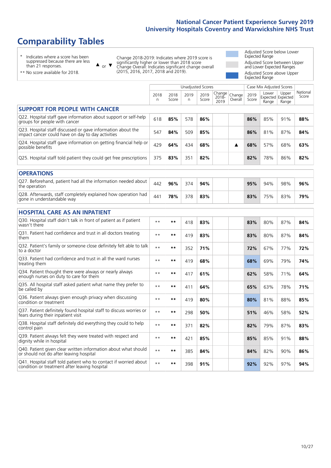# **Comparability Tables**

\* Indicates where a score has been suppressed because there are less than 21 responses.

\*\* No score available for 2018.

 $\triangle$  or  $\nabla$ 

Change 2018-2019: Indicates where 2019 score is significantly higher or lower than 2018 score Change Overall: Indicates significant change overall (2015, 2016, 2017, 2018 and 2019).

Adjusted Score below Lower Expected Range Adjusted Score between Upper and Lower Expected Ranges Adjusted Score above Upper Expected Range

|                                                                                                                   |              |               | Unadjusted Scores |               |                         |                   |               | Case Mix Adjusted Scores            |                |                   |
|-------------------------------------------------------------------------------------------------------------------|--------------|---------------|-------------------|---------------|-------------------------|-------------------|---------------|-------------------------------------|----------------|-------------------|
|                                                                                                                   | 2018<br>n    | 2018<br>Score | 2019<br>n.        | 2019<br>Score | Change<br>2018-<br>2019 | Change<br>Overall | 2019<br>Score | Lower<br>Expected Expected<br>Range | Upper<br>Range | National<br>Score |
| <b>SUPPORT FOR PEOPLE WITH CANCER</b>                                                                             |              |               |                   |               |                         |                   |               |                                     |                |                   |
| Q22. Hospital staff gave information about support or self-help<br>groups for people with cancer                  | 618          | 85%           | 578               | 86%           |                         |                   | 86%           | 85%                                 | 91%            | 88%               |
| Q23. Hospital staff discussed or gave information about the<br>impact cancer could have on day to day activities  | 547          | 84%           | 509               | 85%           |                         |                   | 86%           | 81%                                 | 87%            | 84%               |
| Q24. Hospital staff gave information on getting financial help or<br>possible benefits                            | 429          | 64%           | 434               | 68%           |                         | ▲                 | 68%           | 57%                                 | 68%            | 63%               |
| Q25. Hospital staff told patient they could get free prescriptions                                                | 375          | 83%           | 351               | 82%           |                         |                   | 82%           | 78%                                 | 86%            | 82%               |
| <b>OPERATIONS</b>                                                                                                 |              |               |                   |               |                         |                   |               |                                     |                |                   |
| Q27. Beforehand, patient had all the information needed about<br>the operation                                    | 442          | 96%           | 374               | 94%           |                         |                   | 95%           | 94%                                 | 98%            | 96%               |
| Q28. Afterwards, staff completely explained how operation had<br>gone in understandable way                       | 441          | 78%           | 378               | 83%           |                         |                   | 83%           | 75%                                 | 83%            | 79%               |
| <b>HOSPITAL CARE AS AN INPATIENT</b>                                                                              |              |               |                   |               |                         |                   |               |                                     |                |                   |
| Q30. Hospital staff didn't talk in front of patient as if patient<br>wasn't there                                 | $* *$        | $***$         | 418               | 83%           |                         |                   | 83%           | 80%                                 | 87%            | 84%               |
| Q31. Patient had confidence and trust in all doctors treating<br>them                                             | $**$         | $***$         | 419               | 83%           |                         |                   | 83%           | 80%                                 | 87%            | 84%               |
| Q32. Patient's family or someone close definitely felt able to talk<br>to a doctor                                | $**$         | **            | 352               | 71%           |                         |                   | 72%           | 67%                                 | 77%            | 72%               |
| O33. Patient had confidence and trust in all the ward nurses<br>treating them                                     | $**$         | $***$         | 419               | 68%           |                         |                   | 68%           | 69%                                 | 79%            | 74%               |
| Q34. Patient thought there were always or nearly always<br>enough nurses on duty to care for them                 | $**$         | $***$         | 417               | 61%           |                         |                   | 62%           | 58%                                 | 71%            | 64%               |
| Q35. All hospital staff asked patient what name they prefer to<br>be called by                                    | $\star\star$ | $***$         | 411               | 64%           |                         |                   | 65%           | 63%                                 | 78%            | 71%               |
| Q36. Patient always given enough privacy when discussing<br>condition or treatment                                | $**$         | $***$         | 419               | 80%           |                         |                   | 80%           | 81%                                 | 88%            | 85%               |
| Q37. Patient definitely found hospital staff to discuss worries or<br>fears during their inpatient visit          | $\star\star$ | $***$         | 298               | 50%           |                         |                   | 51%           | 46%                                 | 58%            | 52%               |
| Q38. Hospital staff definitely did everything they could to help<br>control pain                                  | $**$         | $***$         | 371               | 82%           |                         |                   | 82%           | 79%                                 | 87%            | 83%               |
| Q39. Patient always felt they were treated with respect and<br>dignity while in hospital                          | $\star\star$ | $***$         | 421               | 85%           |                         |                   | 85%           | 85%                                 | 91%            | 88%               |
| Q40. Patient given clear written information about what should<br>or should not do after leaving hospital         | $**$         | **            | 385               | 84%           |                         |                   | 84%           | 82%                                 | 90%            | 86%               |
| Q41. Hospital staff told patient who to contact if worried about<br>condition or treatment after leaving hospital | $\star\star$ | $***$         | 398               | 91%           |                         |                   | 92%           | 92%                                 | 97%            | 94%               |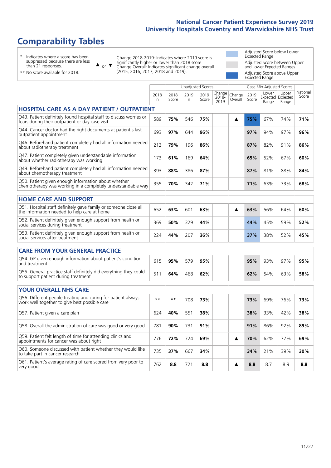# **Comparability Tables**

\* Indicates where a score has been suppressed because there are less than 21 responses.

\*\* No score available for 2018.

 $\triangle$  or  $\nabla$ 

Change 2018-2019: Indicates where 2019 score is significantly higher or lower than 2018 score Change Overall: Indicates significant change overall (2015, 2016, 2017, 2018 and 2019).

Adjusted Score below Lower Expected Range Adjusted Score between Upper and Lower Expected Ranges Adjusted Score above Upper Expected Range

|                                                                                                                       |            |               | <b>Unadjusted Scores</b> |               |                            |                   |               | Case Mix Adjusted Scores            |                |                   |
|-----------------------------------------------------------------------------------------------------------------------|------------|---------------|--------------------------|---------------|----------------------------|-------------------|---------------|-------------------------------------|----------------|-------------------|
|                                                                                                                       | 2018<br>n. | 2018<br>Score | 2019<br>n                | 2019<br>Score | Change<br>$2018 -$<br>2019 | Change<br>Overall | 2019<br>Score | Lower<br>Expected Expected<br>Range | Upper<br>Range | National<br>Score |
| <b>HOSPITAL CARE AS A DAY PATIENT / OUTPATIENT</b>                                                                    |            |               |                          |               |                            |                   |               |                                     |                |                   |
| Q43. Patient definitely found hospital staff to discuss worries or<br>fears during their outpatient or day case visit | 589        | 75%           | 546                      | 75%           |                            | ▲                 | 75%           | 67%                                 | 74%            | 71%               |
| Q44. Cancer doctor had the right documents at patient's last<br>outpatient appointment                                | 693        | 97%           | 644                      | 96%           |                            |                   | 97%           | 94%                                 | 97%            | 96%               |
| Q46. Beforehand patient completely had all information needed<br>about radiotherapy treatment                         | 212        | 79%           | 196                      | 86%           |                            |                   | 87%           | 82%                                 | 91%            | 86%               |
| Q47. Patient completely given understandable information<br>about whether radiotherapy was working                    | 173        | 61%           | 169                      | 64%           |                            |                   | 65%           | 52%                                 | 67%            | 60%               |
| Q49. Beforehand patient completely had all information needed<br>about chemotherapy treatment                         | 393        | 88%           | 386                      | 87%           |                            |                   | 87%           | 81%                                 | 88%            | 84%               |
| Q50. Patient given enough information about whether<br>chemotherapy was working in a completely understandable way    | 355        | 70%           | 342                      | 71%           |                            |                   | 71%           | 63%                                 | 73%            | 68%               |
| <b>HOME CARE AND SUPPORT</b>                                                                                          |            |               |                          |               |                            |                   |               |                                     |                |                   |
| Q51. Hospital staff definitely gave family or someone close all<br>the information needed to help care at home        | 652        | 63%           | 601                      | 63%           |                            | ▲                 | 63%           | 56%                                 | 64%            | 60%               |
| Q52. Patient definitely given enough support from health or<br>social services during treatment                       | 369        | 50%           | 329                      | 44%           |                            |                   | 44%           | 45%                                 | 59%            | 52%               |
| Q53. Patient definitely given enough support from health or<br>social services after treatment                        | 224        | 44%           | 207                      | 36%           |                            |                   | 37%           | 38%                                 | 52%            | 45%               |
| <b>CARE FROM YOUR GENERAL PRACTICE</b>                                                                                |            |               |                          |               |                            |                   |               |                                     |                |                   |
| Q54. GP given enough information about patient's condition<br>and treatment                                           | 615        | 95%           | 579                      | 95%           |                            |                   | 95%           | 93%                                 | 97%            | 95%               |
| Q55. General practice staff definitely did everything they could<br>to support patient during treatment               | 511        | 64%           | 468                      | 62%           |                            |                   | 62%           | 54%                                 | 63%            | 58%               |
| <b>YOUR OVERALL NHS CARE</b>                                                                                          |            |               |                          |               |                            |                   |               |                                     |                |                   |
| Q56. Different people treating and caring for patient always<br>work well together to give best possible care         | $* *$      | $***$         | 708                      | 73%           |                            |                   | 73%           | 69%                                 | 76%            | 73%               |
| Q57. Patient given a care plan                                                                                        | 624        | 40%           | 551                      | 38%           |                            |                   | 38%           | 33%                                 | 42%            | 38%               |
| Q58. Overall the administration of care was good or very good                                                         | 781        | 90%           | 731                      | 91%           |                            |                   | 91%           | 86%                                 | 92%            | 89%               |
| Q59. Patient felt length of time for attending clinics and<br>appointments for cancer was about right                 | 776        | 72%           | 724                      | 69%           |                            | ▲                 | 70%           | 62%                                 | 77%            | 69%               |
| Q60. Someone discussed with patient whether they would like<br>to take part in cancer research                        | 735        | 37%           | 667                      | 34%           |                            |                   | 34%           | 21%                                 | 39%            | 30%               |
| Q61. Patient's average rating of care scored from very poor to<br>very good                                           | 762        | 8.8           | 721                      | 8.8           |                            | ▲                 | 8.8           | 8.7                                 | 8.9            | 8.8               |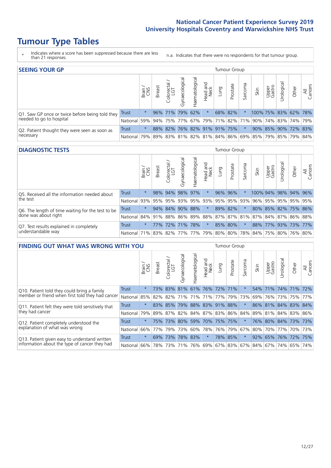# **Tumour Type Tables**

- \* Indicates where a score has been suppressed because there are less than 21 responses.
- n.a. Indicates that there were no respondents for that tumour group.

| <b>SEEING YOUR GP</b>                           |            |              |               |                   |                |                |                     |             | Tumour Group |         |                                                           |                 |                      |       |                |
|-------------------------------------------------|------------|--------------|---------------|-------------------|----------------|----------------|---------------------|-------------|--------------|---------|-----------------------------------------------------------|-----------------|----------------------|-------|----------------|
|                                                 |            | Brain<br>CNS | <b>Breast</b> | Colorectal<br>LGT | Gynaecological | Haematological | Head and<br>Neck    | <b>Dung</b> | Prostate     | Sarcoma | Skin                                                      | Upper<br>Gastro | Urological           | Other | All<br>Cancers |
| Q1. Saw GP once or twice before being told they | Trust      | $\star$      |               | 96% 71%           | 79% 62%        |                | $\star$             |             | 68% 82%      |         |                                                           |                 | 100% 75% 83% 62% 78% |       |                |
| needed to go to hospital                        | National   | 59%          |               | 94% 75% 77%       |                |                |                     |             |              |         | 67%   79%   71%   82%   71%   90%   74%   83%   74%   79% |                 |                      |       |                |
| Q2. Patient thought they were seen as soon as   | Trust      | $\star$      |               | 88% 82%           |                |                | 76% 82% 91% 91% 75% |             |              | $\star$ |                                                           |                 | 90% 85% 90% 72% 83%  |       |                |
| necessary                                       | National I |              |               |                   |                |                |                     |             |              |         | 79% 89% 83% 81% 82% 81% 84% 86% 69% 85% 79% 85% 79% 84%   |                 |                      |       |                |

#### **DIAGNOSTIC TESTS** Tumour Group

|                                                   |                                                                  | Brain   | <b>Breast</b> | olorectal.<br>LGT | $\overline{\sigma}$<br>Gynaecologic | Haematological | Head and<br>Neck | Lung    | Prostate | Sarcoma             | Skin | Upper<br>Gastro | rological                                               | Other       | All<br>Cancers |
|---------------------------------------------------|------------------------------------------------------------------|---------|---------------|-------------------|-------------------------------------|----------------|------------------|---------|----------|---------------------|------|-----------------|---------------------------------------------------------|-------------|----------------|
| Q5. Received all the information needed about     | Trust                                                            | $\star$ |               | 98% 94%           | 98%                                 | 97%            | $\ast$           |         | 96% 96%  |                     |      | 100% 94%        |                                                         | 98% 94% 96% |                |
| the test                                          | National                                                         | 93%     | 95%           | 95%               | 93%                                 |                |                  |         |          | 95% 93% 95% 95% 93% | 96%  | 95%             |                                                         | 95% 95% 95% |                |
| Q6. The length of time waiting for the test to be | Trust                                                            | $\star$ |               | 94% 84%           | 90%                                 | 88%            | $\star$          |         | 89% 82%  | $\star$             |      |                 | 80% 85% 82% 75% 86%                                     |             |                |
| done was about right                              | <b>National</b>                                                  |         |               |                   |                                     |                |                  |         |          |                     |      |                 | 84% 91% 88% 86% 89% 88% 87% 87% 81% 87% 84% 87% 86% 88% |             |                |
| Q7. Test results explained in completely          | Trust                                                            | $\star$ |               | 77% 72% 71% 78%   |                                     |                | $\star$          | 85% 80% |          | $\star$             |      |                 | 88% 77% 93% 73% 77%                                     |             |                |
| understandable way                                | National 71% 83% 82% 77% 77% 79% 80% 80% 78% 84% 75% 80% 76% 80% |         |               |                   |                                     |                |                  |         |          |                     |      |                 |                                                         |             |                |

| <b>FINDING OUT WHAT WAS WRONG WITH YOU</b>        |              |         |               |                             |                                               |                   |                  |                 | <b>Tumour Group</b> |         |      |                 |             |                     |                |
|---------------------------------------------------|--------------|---------|---------------|-----------------------------|-----------------------------------------------|-------------------|------------------|-----------------|---------------------|---------|------|-----------------|-------------|---------------------|----------------|
|                                                   |              | Brain   | <b>Breast</b> | olorectal.<br>LGT<br>$\cup$ | Gynaecological                                | aematologica<br>Ĩ | Head and<br>Neck | Lung            | Prostate            | Sarcoma | Skin | Upper<br>Gastro | Urological  | Other               | All<br>Cancers |
| Q10. Patient told they could bring a family       | <b>Trust</b> | $\star$ | 73% l         | 83%                         | 81%                                           |                   | 61% 76% 72%      |                 | 171%                | $\ast$  | 54%  | 71%             | 74% 71%     |                     | 72%            |
| member or friend when first told they had cancer  | National     | 85%     | 82%           | 82%                         | 71%                                           | 71%               | 71%              | 77% 79%         |                     | 73%     | 69%  | 76%             | 73%         | 75%                 | 77%            |
| Q11. Patient felt they were told sensitively that | Trust        | $\star$ |               | 83% 85%                     | 79%                                           |                   |                  | 88% 83% 91% 88% |                     | $\ast$  |      |                 |             | 86% 81% 84% 83% 84% |                |
| they had cancer                                   | National     | 79%     |               |                             | 89%   87%   82%   84%   87%   83%   86%   84% |                   |                  |                 |                     |         |      |                 |             | 89% 81% 84% 83% 86% |                |
| Q12. Patient completely understood the            | Trust        | $\star$ | 75%           | 73%                         | 80%                                           |                   |                  | 59% 70% 75% 75% |                     | $\ast$  | 76%  |                 | 80% 84% 73% |                     | 173%           |
| explanation of what was wrong                     | National     | 66%     | 77%           | 79%                         | 73%                                           | 60%               |                  | 78% 76% 79%     |                     | 67%     |      |                 | 80% 70% 77% |                     | 70% 73%        |
| Q13. Patient given easy to understand written     | Trust        | $\star$ | 69%           | 73%                         | 78%                                           | 83%               | $\star$          |                 | 78% 85%             | $\star$ | 92%  | 65%             |             | 76% 72%             | 75%            |
| information about the type of cancer they had     | National     | $66\%$  | 78%           | 73%                         | 71%                                           | 76%               |                  | 69% 67% 83%     |                     |         |      | 67%   84%   67% | 74%         | 65%                 | 74%            |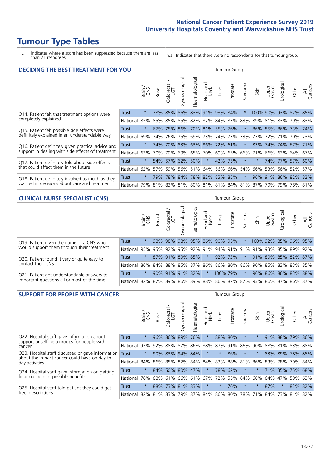# **Tumour Type Tables**

- \* Indicates where a score has been suppressed because there are less than 21 responses.
- n.a. Indicates that there were no respondents for that tumour group.

| <b>DECIDING THE BEST TREATMENT FOR YOU</b>         |          |         |               |                             |     | Tumour Group<br>Haematological<br>Gynaecological<br>Jrological<br>ad and<br>Neck<br>arcoma<br>Prostate<br>All<br>Cancers<br>Upper<br>Gastro<br>Other<br>Lung<br>Skin<br>Head<br>vī.<br>83% 91%<br> 93%<br>84%<br>$\star$<br>100% 90%<br>93% 87%<br>85%<br>82% 87%<br>84% 83%<br>83%<br>81%<br>79% 83%<br>89%<br>83% |         |                         |         |          |                                         |     |             |                     |      |  |  |
|----------------------------------------------------|----------|---------|---------------|-----------------------------|-----|---------------------------------------------------------------------------------------------------------------------------------------------------------------------------------------------------------------------------------------------------------------------------------------------------------------------|---------|-------------------------|---------|----------|-----------------------------------------|-----|-------------|---------------------|------|--|--|
|                                                    |          | Brain   | <b>Breast</b> | olorectal.<br>LGT<br>$\cup$ |     |                                                                                                                                                                                                                                                                                                                     |         |                         |         |          |                                         |     |             |                     |      |  |  |
| Q14. Patient felt that treatment options were      | Trust    | $\star$ | 78%           | 85%                         | 86% |                                                                                                                                                                                                                                                                                                                     |         |                         |         |          |                                         |     |             |                     |      |  |  |
| completely explained                               | National | 85%     | 85%           | 85%                         | 85% |                                                                                                                                                                                                                                                                                                                     |         |                         |         |          |                                         |     |             |                     |      |  |  |
| Q15. Patient felt possible side effects were       | Trust    | $\star$ | 67%           | 75%                         | 86% |                                                                                                                                                                                                                                                                                                                     | 70% 81% |                         | 55% 76% |          | $86\%$                                  |     |             | 85% 86% 73%         | 174% |  |  |
| definitely explained in an understandable way      | National | 69%     | 74%           | 76%                         | 75% | 69%                                                                                                                                                                                                                                                                                                                 | 73%     |                         | 74% 73% | 73%      | 77%                                     | 72% | 71%         | 70% 73%             |      |  |  |
| Q16. Patient definitely given practical advice and | Trust    | $\star$ | 74%           | 70%                         | 83% | 63% 86%                                                                                                                                                                                                                                                                                                             |         | 72% 61%                 |         | $^\star$ | 83%                                     | 74% |             | 74% 67% 71%         |      |  |  |
| support in dealing with side effects of treatment  | National | 63%     | 70%           | 70%                         | 69% | 65%                                                                                                                                                                                                                                                                                                                 |         | 70% 69% 65%             |         | 66%      | 71%                                     | 66% |             | 63% 64%             | 67%  |  |  |
| Q17. Patient definitely told about side effects    | Trust    | $\star$ | 54%           | 57%                         | 62% | 50%                                                                                                                                                                                                                                                                                                                 | $\star$ |                         | 42% 75% | $^\star$ | $\star$                                 | 74% |             | 77% 57% 60%         |      |  |  |
| that could affect them in the future               | National | 62%     | 57%           | 59%                         |     | 56% 51%                                                                                                                                                                                                                                                                                                             | 64%     |                         | 56% 66% | 54%      | 66%                                     |     | 53% 56% 52% |                     | 57%  |  |  |
| Q18. Patient definitely involved as much as they   | Trust    | $\star$ | 79%           |                             |     |                                                                                                                                                                                                                                                                                                                     |         | 78% 84% 78% 82% 83% 85% |         | $^\ast$  |                                         |     |             | 96% 91% 86% 82% 82% |      |  |  |
| wanted in decisions about care and treatment       | National |         |               |                             |     |                                                                                                                                                                                                                                                                                                                     |         |                         |         |          | 79% 81% 83% 81% 80% 81% 81% 84% 81% 87% | 79% |             | 79% 78% 81%         |      |  |  |

#### **CLINICAL NURSE SPECIALIST (CNS)** Tumour Group

|                                             |                          | Brain   | <b>Breast</b> | olorectal<br>LGT<br>U | aecologic<br>Š | ক<br>aematologic | Head and<br>Neck | <b>Dung</b>                                     | Prostate | Sarcoma | Skin | Upper<br>Gastro     | σ<br>rologica | Other       | All<br>Cancers |
|---------------------------------------------|--------------------------|---------|---------------|-----------------------|----------------|------------------|------------------|-------------------------------------------------|----------|---------|------|---------------------|---------------|-------------|----------------|
| Q19. Patient given the name of a CNS who    | Trust                    | $\star$ |               | 98% 98%               | 98%            |                  |                  | 95% 86% 90% 95%                                 |          |         |      | 100% 92%            |               | 85% 96% 95% |                |
| would support them through their treatment  | National                 | 95%     |               | 95% 92% 95%           |                |                  |                  | 92% 91% 94% 91% 91% 91% 93% 85% 89%             |          |         |      |                     |               |             | 92%            |
| Q20. Patient found it very or quite easy to | <b>Trust</b>             | $\star$ |               | 87% 91% 89% 85%       |                |                  | $\star$          | 92% 73%                                         |          | $\star$ |      | 91% 89% 85% 82% 87% |               |             |                |
| contact their CNS                           | National                 | 86%     |               |                       |                |                  |                  | 84% 88% 85% 87% 86% 86% 80% 86% 90% 85% 83% 83% |          |         |      |                     |               |             | 85%            |
| Q21. Patient got understandable answers to  | Trust                    | $\star$ |               | $90\%$ 91%            | 91%            | 82%              | $\ast$           | 100% 79%                                        |          | $\star$ |      | 96% 86% 86% 83% 88% |               |             |                |
| important questions all or most of the time | National 82% 87% 89% 86% |         |               |                       |                |                  |                  | 89% 88% 86% 87% 87% 93% 86% 87% 86%             |          |         |      |                     |               |             | 87%            |

| <b>SUPPORT FOR PEOPLE WITH CANCER</b>                                                             |              |         |               |            |                |                |                        |             | Tumour Group |                  |         |                 |             |         |                |
|---------------------------------------------------------------------------------------------------|--------------|---------|---------------|------------|----------------|----------------|------------------------|-------------|--------------|------------------|---------|-----------------|-------------|---------|----------------|
|                                                                                                   |              | Brain   | <b>Breast</b> | Colorectal | Gynaecological | Haematological | ad and<br>Neck<br>Head | <b>Dung</b> | Prostate     | arcoma<br>$\sim$ | Skin    | Upper<br>Gastro | Jrological  | Other   | All<br>Cancers |
| Q22. Hospital staff gave information about<br>support or self-help groups for people with         | <b>Trust</b> | $\star$ | 96%           | 86%        | 89%            | 76%            | $\star$                | 88%         | 80%          | $\star$          |         | 91%             | 88%         | 79%     | 86%            |
| cancer                                                                                            | National     | 92%     | 92%           | 88%        | 87%            | 86%            | 88%                    | 87%         | 91%          | 86%              | 90%     | 88%             | 81%         | 83%     | 88%            |
| Q23. Hospital staff discussed or gave information<br>about the impact cancer could have on day to | Trust        | $\star$ | 90%           | 83%        | 94%            | 84%            | $\star$                | $\star$     | 86%          | $\star$          |         | 83%             | 89%         |         | 78% 85%        |
| day activities                                                                                    | National     | 84%     |               | 86% 85%    | 82%            | 84%            | 84%                    | 83%         | 88%          | 81%              | 86%     | 83%             |             | 78% 79% | 84%            |
| Q24. Hospital staff gave information on getting                                                   | Trust        | $\star$ | $84\%$        | 50%        |                | 80% 47%        | $\star$                |             | 78% 62%      | $\star$          | $\ast$  |                 | 71% 35% 75% |         | 68%            |
| financial help or possible benefits                                                               | National     | 78%     |               | 68% 61%    |                | 66% 61%        | 67%                    |             | 72% 55%      | 64%              | 60%     | 64%             | 47%         | 59%     | 63%            |
| Q25. Hospital staff told patient they could get                                                   | Trust        | $\star$ | 88%           | 73%        |                | 81% 83%        | $\star$                | $^\star$    | 76%          | $\star$          | $\star$ | 87%             | $\star$     |         | 82% 82%        |
| free prescriptions                                                                                | National     | 82%     |               | 81% 83%    | 79%            |                | 87% 84% 86% 80%        |             |              | 78%              | 71%     | 84%             | 73%         | 81%     | 82%            |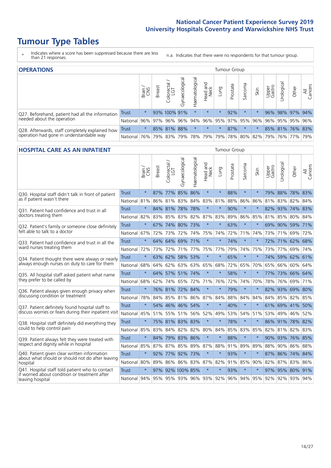# **Tumour Type Tables**

- \* Indicates where a score has been suppressed because there are less than 21 responses.
- n.a. Indicates that there were no respondents for that tumour group.

| <b>OPERATIONS</b>                                |            |              |               |                   |                   |                                         |                  |         | Tumour Group |         |                             |                 |            |                 |                |
|--------------------------------------------------|------------|--------------|---------------|-------------------|-------------------|-----------------------------------------|------------------|---------|--------------|---------|-----------------------------|-----------------|------------|-----------------|----------------|
|                                                  |            | Brain<br>CNS | <b>Breast</b> | Colorectal<br>LGT | ত<br>Gynaecologic | Haematological                          | Head and<br>Neck | Lung    | Prostate     | Sarcoma | Skin                        | Upper<br>Gastro | Urological | Other           | All<br>Cancers |
| Q27. Beforehand, patient had all the information | Trust      | $\star$      |               | 93% 100% 91%      |                   |                                         | $\star$          | $\star$ | 92%          | $\star$ |                             |                 |            | 96% 98% 97% 94% |                |
| needed about the operation                       | National   |              |               | 96% 97% 96%       | 96%               | 94% 96% 95% 97% 95% 96% 96% 95% 95% 96% |                  |         |              |         |                             |                 |            |                 |                |
| Q28. Afterwards, staff completely explained how  | Trust      | $\star$      |               | 85% 81%           | 88%               |                                         | $\star$          | $\star$ | 87%          | $\star$ |                             |                 |            | 85% 81% 76% 83% |                |
| operation had gone in understandable way         | National I | 76%          |               | 79% 83%           | 79%               | $ 78\% 79\% 79\% $                      |                  |         | 78%          |         | 80%   82%   79%   76%   77% |                 |            |                 | 79%            |

#### **HOSPITAL CARE AS AN INPATIENT** Tumour Group

|                                                                                                   |              | Brain   | Breast | ╮<br>Colorectal /<br>LGT | Gynaecological  | Haematological | Head and<br>Neck | Lung                    | Prostate | Sarcoma | Skin    | Upper<br>Gastro | Urological              | Other   | All<br>Cancers |
|---------------------------------------------------------------------------------------------------|--------------|---------|--------|--------------------------|-----------------|----------------|------------------|-------------------------|----------|---------|---------|-----------------|-------------------------|---------|----------------|
| Q30. Hospital staff didn't talk in front of patient                                               | <b>Trust</b> | $\star$ | 87%    |                          | 77% 85%         | 86%            | $\star$          | $\star$                 | 88%      | $\star$ | $\star$ |                 | 79% 88% 78% 83%         |         |                |
| as if patient wasn't there                                                                        | National     | 81%     | 86%    | 81%                      | 83%             | 84%            | 83%              | 81%                     | 88%      | 86%     | 86%     | 81%             | 83%                     | 82%     | 84%            |
| O31. Patient had confidence and trust in all                                                      | <b>Trust</b> | $\star$ |        | 84% 81%                  | 78%             | 78%            | $\star$          | $\star$                 | 90%      | $\star$ | $\ast$  | 82%             | 93% 74% 83%             |         |                |
| doctors treating them                                                                             | National 82% |         |        | 83% 85%                  |                 | 83% 82%        |                  | 87% 83%                 | 89%      | 86%     | 85%     |                 | 81% 85%                 | 80% 84% |                |
| Q32. Patient's family or someone close definitely<br>felt able to talk to a doctor                | <b>Trust</b> | $\star$ |        |                          | 67% 74% 80% 73% |                | $\star$          | $\star$                 | 63%      | $\star$ | $\star$ |                 | 69% 90% 59% 71%         |         |                |
|                                                                                                   | National 67% |         | 72%    | 73%                      |                 | 72% 74%        | 75%              | 74%                     | 72%      | 71%     | 74%     |                 | 73% 71%                 | 69%     | 72%            |
| Q33. Patient had confidence and trust in all the<br>ward nurses treating them                     | Trust        | $\star$ |        |                          | 64% 64% 69% 71% |                | $\star$          | $\star$                 | 74%      | $\star$ | $\star$ |                 | 72% 71% 62% 68%         |         |                |
|                                                                                                   | National     | 72%     | 73%    | 72%                      |                 | 71% 77%        | 75%              | 77%                     | 79%      | 74%     | 75%     |                 | 73% 77%                 | 69%     | 74%            |
| Q34. Patient thought there were always or nearly<br>always enough nurses on duty to care for them | <b>Trust</b> | $\star$ | 63%    | 62%                      | 58% 53%         |                | $\star$          | $\star$                 | 65%      | $\star$ | $\star$ |                 | 74% 59% 62%             |         | 61%            |
|                                                                                                   | National     | 68%     | 64%    | 62%                      |                 | 63% 63%        | 65%              | 68%                     | 72%      | 65%     | 70%     | 65%             | 66%                     | 60%     | 64%            |
| Q35. All hospital staff asked patient what name                                                   | Trust        | $\star$ |        |                          | 64% 57% 51% 74% |                | $\star$          | $\star$                 | 58%      | $\star$ | $\star$ |                 | 77% 73% 66% 64%         |         |                |
| they prefer to be called by                                                                       | National     | 68%     |        | 62% 74%                  |                 | 65% 72%        |                  | 71% 76%                 | 72%      | 74%     | 70%     | 78%             | 76%                     | 69%     | 71%            |
| Q36. Patient always given enough privacy when                                                     | Trust        | $\star$ |        |                          | 76% 81% 72% 84% |                | $\star$          | $\star$                 | 79%      | $\star$ | $\ast$  | 82%             | 93% 69% 80%             |         |                |
| discussing condition or treatment                                                                 | National     | 78%     |        |                          | 84% 85% 81% 86% |                | 87%              | 84%                     | 88%      | 84%     | 84%     |                 | 84% 85%                 | 82%     | 85%            |
| Q37. Patient definitely found hospital staff to                                                   | <b>Trust</b> | $\star$ | 54%    |                          | 46% 46% 54%     |                | $\star$          | $\star$                 | 40%      | $\star$ | $\star$ |                 | 61% 69% 41%             |         | 50%            |
| discuss worries or fears during their inpatient visit                                             | National     | 45%     |        | 51% 55%                  |                 | 51% 56%        | 52%              | 49%                     | 53%      | 54%     | 51%     |                 | 53% 49%                 | 46% 52% |                |
| Q38. Hospital staff definitely did everything they                                                | Trust        | $\star$ |        |                          | 75% 81% 83% 83% |                | $\star$          | $\star$                 | 78%      | $\star$ | $\star$ |                 | 86% 91%                 | 78% 82% |                |
| could to help control pain                                                                        | National     | 85%     | 83%    | 84%                      | 82%             | 82%            | 80%              | 84%                     | 85%      | 83%     | 85%     | 82%             | 81%                     | 82%     | 83%            |
| Q39. Patient always felt they were treated with                                                   | Trust        | $\star$ | 84%    |                          | 79% 83% 86%     |                | $\star$          | $\star$                 | 88%      | $\star$ | $\star$ |                 | 90% 93%                 | 76% 85% |                |
| respect and dignity while in hospital                                                             | National 85% |         |        | 87% 87%                  | 85% 89%         |                |                  | 87% 88%                 | 91%      | 89%     | 89%     |                 | 88% 90% 86% 88%         |         |                |
| Q40. Patient given clear written information<br>about what should or should not do after leaving  | Trust        | $\star$ | 92%    | 77%                      | 92%             | 73%            | $\star$          | $\star$                 | 93%      | $\star$ | $\star$ | 87%             | 86%                     | 74% 84% |                |
| hospital                                                                                          | National 80% |         | 89%    | 86%                      |                 | 86% 83%        |                  | 87% 82%                 | 91%      | 85%     | 90%     |                 | 82% 87%                 | 83%     | 86%            |
| Q41. Hospital staff told patient who to contact<br>if worried about condition or treatment after  | <b>Trust</b> | $\star$ | 97%    |                          | 92% 100% 85%    |                | $\star$          | $\star$                 | 93%      | $\star$ | $\star$ |                 | 97% 95% 80% 91%         |         |                |
| leaving hospital                                                                                  | National 94% |         |        |                          |                 |                |                  | 95% 95% 93% 96% 93% 92% | 96%      |         |         |                 | 94% 95% 92% 92% 93% 94% |         |                |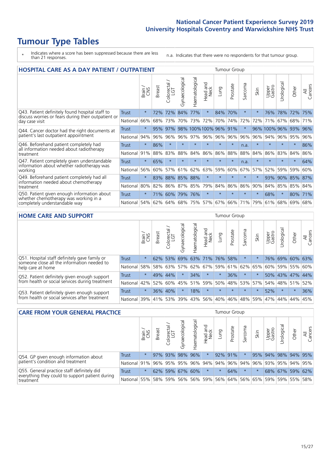# **Tumour Type Tables**

\* Indicates where a score has been suppressed because there are less than 21 responses.

n.a. Indicates that there were no respondents for that tumour group.

| <b>HOSPITAL CARE AS A DAY PATIENT / OUTPATIENT</b>                                                                       | <b>Tumour Group</b> |              |               |                              |                |                |                      |         |          |                          |         |                 |            |         |                |
|--------------------------------------------------------------------------------------------------------------------------|---------------------|--------------|---------------|------------------------------|----------------|----------------|----------------------|---------|----------|--------------------------|---------|-----------------|------------|---------|----------------|
|                                                                                                                          |                     | Brain<br>CNS | <b>Breast</b> | ー<br>olorectal /<br>LGT<br>Ũ | Gynaecological | Haematological | and<br>Neck<br>Head. | Lung    | Prostate | arcoma<br>$\overline{ }$ | Skin    | Upper<br>Gastro | Jrological | Other   | All<br>Cancers |
| Q43. Patient definitely found hospital staff to<br>discuss worries or fears during their outpatient or<br>day case visit | <b>Trust</b>        | $\star$      | 72%           | 72%                          | 84%            | 77%            | $\star$              | 84%     | 70%      | $\star$                  |         | 76%             | 78%        | 72%     | 75%            |
|                                                                                                                          | National            | 66%          | 68%           | 73%                          | 70%            | 73%            | 72%                  | 70%     | 74%      | 72%                      | 72%     | 71%             | 67%        | 68%     | 71%            |
| Q44. Cancer doctor had the right documents at<br>patient's last outpatient appointment                                   | Trust               | $\star$      | 95%           | 97%                          |                |                | 98% 100% 100% 96%    |         | 91%      | $\star$                  | 96%     | 100% 96%        |            | 93%     | 96%            |
|                                                                                                                          | National            | 94%          | 96%           | 96%                          | 96%            | 97%            | 96%                  | 96%     | 96%      | 96%                      | 96%     | 94%             | 96%        | 95%     | 96%            |
| Q46. Beforehand patient completely had                                                                                   | <b>Trust</b>        | $\star$      | 86%           | $\star$                      |                | $\star$        | $\star$              | $\star$ | $\star$  | n.a.                     |         | $\star$         | $\star$    | $\star$ | 86%            |
| all information needed about radiotherapy<br>treatment                                                                   | National            | 91%          | 88%           | 83%                          | 88%            | 84%            | 86%                  | 86%     | 88%      | 88%                      | 84%     | 86%             | 83%        | 84%     | 86%            |
| Q47. Patient completely given understandable                                                                             | <b>Trust</b>        | $\star$      | 65%           | $\star$                      | $\star$        | $\star$        | $\star$              | $\star$ | $\star$  | n.a.                     | $\star$ | $\star$         | $\star$    | $\star$ | 64%            |
| information about whether radiotherapy was<br>working                                                                    | National            | 56%          | 60%           | 57%                          | 61%            | 62%            | 63%                  | 59%     | 60%      | 67%                      | 57%     | 52%             | 59%        | 59%     | 60%            |
| Q49. Beforehand patient completely had all                                                                               | <b>Trust</b>        | $\star$      | 83%           | 88%                          | 85%            | 88%            | $\star$              | $\star$ | $\star$  | $\star$                  |         | 93%             | 90%        | 85%     | 87%            |
| information needed about chemotherapy<br>treatment                                                                       | National            | 80%          | 82%           | 86%                          | 87%            | 85%            | 79%                  | 84%     | 86%      | 86%                      | 90%     | 84%             | 85%        | 85%     | 84%            |
| Q50. Patient given enough information about                                                                              | Trust               | $\star$      | 71%           | 60%                          | 79%            | 76%            | $\star$              | $\star$ | $\star$  | $\star$                  | $\star$ | 68%             | $^\star$   | 80%     | 71%            |
| whether chemotherapy was working in a<br>completely understandable way                                                   | National            | 54%          | 62%           | 64%                          |                | 68% 75%        |                      | 57% 67% | 66%      | 71%                      | 79%     | 61%             | 68%        | 69%     | 68%            |

#### **HOME CARE AND SUPPORT** Tumour Group

|                                                                                                                   |              | Brain   | <b>Breast</b> | Colorectal<br>LGT | ᢛ<br>Gynaecologic | Haematological | ad and<br>Neck<br>Head | <b>Dung</b> | Prostate | Sarcoma | Skin    | Upper<br>Gastro | Urological | Other           | All<br>Cancers |
|-------------------------------------------------------------------------------------------------------------------|--------------|---------|---------------|-------------------|-------------------|----------------|------------------------|-------------|----------|---------|---------|-----------------|------------|-----------------|----------------|
| Q51. Hospital staff definitely gave family or<br>someone close all the information needed to<br>help care at home | <b>Trust</b> | $\star$ |               | 62% 53%           |                   |                | 69% 63% 71%            | 76%         | 58%      | $\ast$  |         | 76%             |            | 69% 60% 63%     |                |
|                                                                                                                   | National     | 58%     |               | 58% 63%           | 57%               | 62%            | 67%                    | 59%         | 61%      | 62% 65% |         | 60%             |            | 59% 55%         | 60%            |
| Q52. Patient definitely given enough support<br>from health or social services during treatment                   | Trust        | $\star$ |               | 49% 44%           | $\star$           | 34%            | $\star$                | $\star$     | 36%      | $\star$ |         |                 |            | 50% 43% 47% 44% |                |
|                                                                                                                   | National     | 42%     | 52%           | 60%               |                   | 45% 51%        | 59%                    | 50%         | 48%      |         | 53% 57% | 54%             | 48% 51%    |                 | 52%            |
| Q53. Patient definitely given enough support<br>from health or social services after treatment                    | <b>Trust</b> | $\star$ |               | 36% 40%           | $\star$           | 18%            | $\star$                | $\star$     | $\star$  | $\star$ | $\star$ | 52%             | $\star$    | $\star$         | 36%            |
|                                                                                                                   | National     | 39%     |               | 41% 53%           | 39%               | 43%            | 56%                    | 40%         | 46%      |         | 48% 59% | 47%             | 44%        | 44%             | 45%            |

| <b>CARE FROM YOUR GENERAL PRACTICE</b>                                      |              |         |               |                   |                |                |                  | Tumour Group |                             |         |      |                     |                 |       |                |  |
|-----------------------------------------------------------------------------|--------------|---------|---------------|-------------------|----------------|----------------|------------------|--------------|-----------------------------|---------|------|---------------------|-----------------|-------|----------------|--|
|                                                                             |              | Brain,  | <b>Breast</b> | Colorectal<br>LGT | Gynaecological | Haematological | Head and<br>Neck | Lung         | Prostate                    | Sarcoma | Skin | Upper<br>Gastro     | Urologica       | Other | All<br>Cancers |  |
| Q54. GP given enough information about<br>patient's condition and treatment | Trust        | $\star$ |               | 97% 93%           |                | 98% 96%        | $\star$          |              | 92% 91%                     |         |      | 95% 94% 98% 94% 95% |                 |       |                |  |
|                                                                             | National 91% |         |               | 96% 95% 95%       |                |                |                  |              | 96% 94% 94% 96% 94% 96%     |         |      | 93% 95% 94% 95%     |                 |       |                |  |
| Q55. General practice staff definitely did                                  | <b>Trust</b> | $\star$ |               | 62% 59%           |                | 67% 60%        | $\star$          | $\star$      | 64%                         | $\star$ |      |                     | 68% 67% 59% 62% |       |                |  |
| everything they could to support patient during<br>treatment                | National     | 55%     |               | 58% 59%           |                | 56% 56% 59%    |                  |              | 56% 64% 56% 65% 59% 59% 55% |         |      |                     |                 |       | 58%            |  |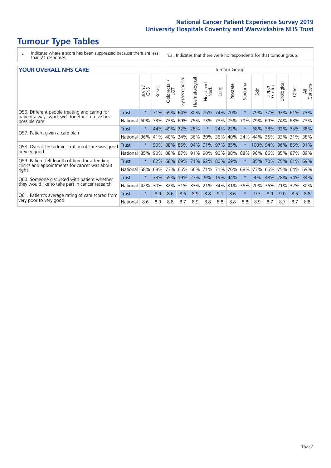# **Tumour Type Tables**

\* Indicates where a score has been suppressed because there are less than 21 responses.

n.a. Indicates that there were no respondents for that tumour group.

| <b>YOUR OVERALL NHS CARE</b>                                                                                     |              |         |               |                            |                |                |                         |      |          | <b>Tumour Group</b> |          |                 |            |       |                |  |  |  |
|------------------------------------------------------------------------------------------------------------------|--------------|---------|---------------|----------------------------|----------------|----------------|-------------------------|------|----------|---------------------|----------|-----------------|------------|-------|----------------|--|--|--|
|                                                                                                                  |              | Brain   | <b>Breast</b> | ╮<br>olorectal<br>LGT<br>Ū | Gynaecological | Haematological | aad and<br>Neck<br>Head | Lung | Prostate | Sarcoma             | Skin     | Upper<br>Gastro | Urological | Other | All<br>Cancers |  |  |  |
| Q56. Different people treating and caring for<br>patient always work well together to give best<br>possible care | Trust        | $\star$ | 71%           | 69%                        | 64%            | 80%            | 76%                     | 74%  | 70%      | $\ast$              | 79%      | 77%             | 93%        | 61%   | 73%            |  |  |  |
|                                                                                                                  | National     | 60%     | 73%           | 73%                        | 69%            | 75%            | 73%                     | 73%  | 75%      | 70%                 | 79%      | 69%             | 74%        | 68%   | 73%            |  |  |  |
| Q57. Patient given a care plan                                                                                   | Trust        | $\star$ | 44%           | 49%                        | 32%            | 28%            | $\star$                 | 24%  | 22%      | $\star$             | 68%      | 38%             | 32%        | 35%   | 38%            |  |  |  |
|                                                                                                                  | National     | 36%     | 41%           | 40%                        | 34%            | 36%            | 39%                     | 36%  | 40%      | 34%                 | 44%      | 36%             | 33%        | 31%   | 38%            |  |  |  |
| Q58. Overall the administration of care was good                                                                 | Trust        | $\star$ | 90%           | 88%                        | 85%            | 94%            | 91%                     | 97%  | 85%      | $\star$             | 100% 94% |                 | 96%        | 85%   | 91%            |  |  |  |
| or very good                                                                                                     | National     | 85%     | 90%           | 88%                        | 87%            | 91%            | 90%                     |      | 90% 88%  | 88%                 | 90%      | 86%             | 85%        | 87%   | 89%            |  |  |  |
| Q59. Patient felt length of time for attending                                                                   | Trust        | $\star$ | 62%           | 68%                        | 69%            | 71% 82% 80%    |                         |      | 69%      | $\star$             | 85%      | 70%             | 75%        | 61%   | 69%            |  |  |  |
| clinics and appointments for cancer was about<br>right                                                           | National     | 58%     | 68%           | 73%                        | 66%            | 66%            | 71%                     |      | 71% 76%  | 68%                 | 73%      | 66%             | 75%        | 64%   | 69%            |  |  |  |
| Q60. Someone discussed with patient whether                                                                      | Trust        | $\star$ | 38%           | 55%                        | 19%            | 27%            | 9%                      | 19%  | 44%      | $\star$             | 4%       | 48%             | 28%        | 34%   | 34%            |  |  |  |
| they would like to take part in cancer research                                                                  | National     | 42%     | 30%           | 32%                        | 31%            | 33%            | 21%                     | 34%  | 31%      | 36%                 | 20%      | 36%             | 21%        | 32%   | 30%            |  |  |  |
| Q61. Patient's average rating of care scored from<br>very poor to very good                                      | <b>Trust</b> | $\star$ | 8.9           | 8.6                        | 8.6            | 8.9            | 8.8                     | 9.1  | 8.6      | $\star$             | 9.3      | 8.9             | 9.0        | 8.5   | 8.8            |  |  |  |
|                                                                                                                  | National     | 8.6     | 8.9           | 8.8                        | 8.7            | 8.9            | 8.8                     | 8.8  | 8.8      | 8.8                 | 8.9      | 8.7             | 8.7        | 8.7   | 8.8            |  |  |  |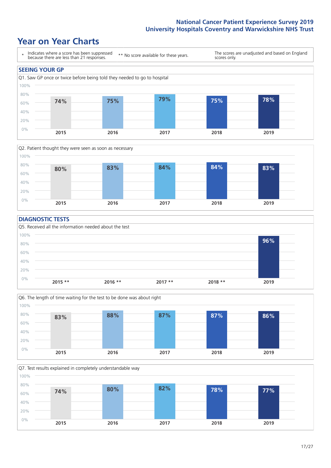### **Year on Year Charts**





#### **DIAGNOSTIC TESTS**





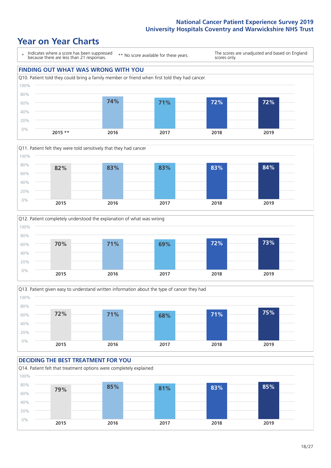### **Year on Year Charts**









#### **DECIDING THE BEST TREATMENT FOR YOU** Q14. Patient felt that treatment options were completely explained 0% 20% 40% 60% 80% 100% **2015 2016 2017 2018 2019 79% 85% 81% 83% 85%**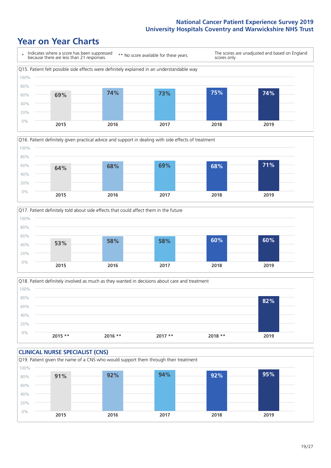### **Year on Year Charts**







Q18. Patient definitely involved as much as they wanted in decisions about care and treatment  $0%$ 20% 40% 60% 80% 100% **2015 \*\* 2016 \*\* 2017 \*\* 2018 \*\* 2019 82%**

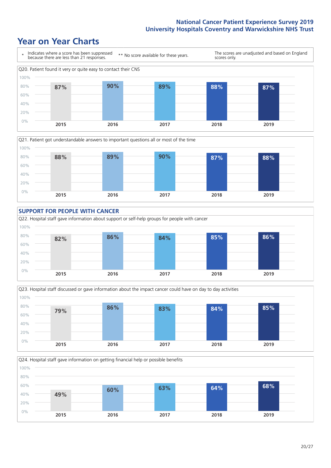### **Year on Year Charts**









Q24. Hospital staff gave information on getting financial help or possible benefits 0% 20% 40% 60% 80% 100% **2015 2016 2017 2018 2019 49% 60% 63% 64% 68%**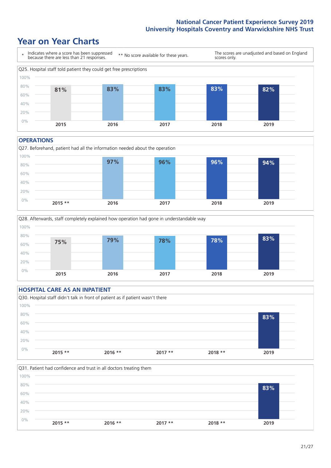### **Year on Year Charts**



#### **OPERATIONS**





### **HOSPITAL CARE AS AN INPATIENT** Q30. Hospital staff didn't talk in front of patient as if patient wasn't there 0% 20% 40% 60% 80% 100% **2015 \*\* 2016 \*\* 2017 \*\* 2018 \*\* 2019 83%**

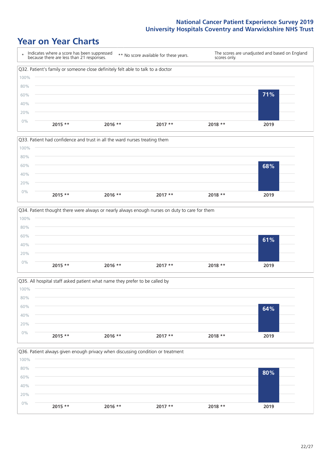### **Year on Year Charts**









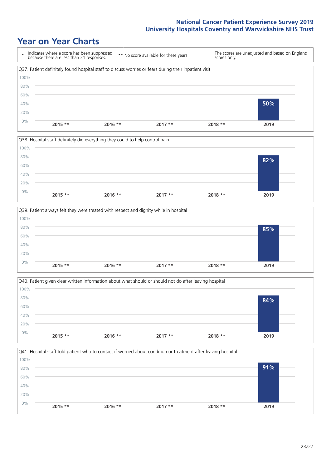### **Year on Year Charts**

|       | Indicates where a score has been suppressed<br>because there are less than 21 responses.              |           | ** No score available for these years. | scores only. | The scores are unadjusted and based on England |
|-------|-------------------------------------------------------------------------------------------------------|-----------|----------------------------------------|--------------|------------------------------------------------|
|       | Q37. Patient definitely found hospital staff to discuss worries or fears during their inpatient visit |           |                                        |              |                                                |
| 100%  |                                                                                                       |           |                                        |              |                                                |
| 80%   |                                                                                                       |           |                                        |              |                                                |
| 60%   |                                                                                                       |           |                                        |              |                                                |
| 40%   |                                                                                                       |           |                                        |              | 50%                                            |
| 20%   |                                                                                                       |           |                                        |              |                                                |
| $0\%$ | $2015$ **                                                                                             | $2016$ ** | $2017**$                               | $2018**$     | 2019                                           |







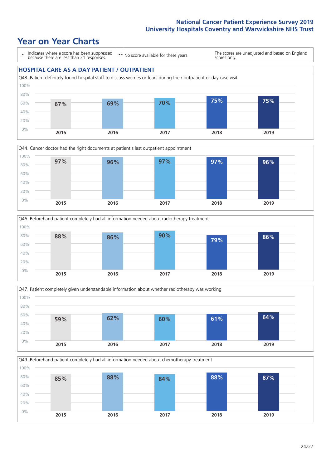### **Year on Year Charts**

\* Indicates where a score has been suppressed because there are less than 21 responses.

\*\* No score available for these years.

The scores are unadjusted and based on England scores only.

### **HOSPITAL CARE AS A DAY PATIENT / OUTPATIENT**









Q49. Beforehand patient completely had all information needed about chemotherapy treatment 0% 20% 40% 60% 80% 100% **2015 2016 2017 2018 2019 85% 88% 84% 88% 87%**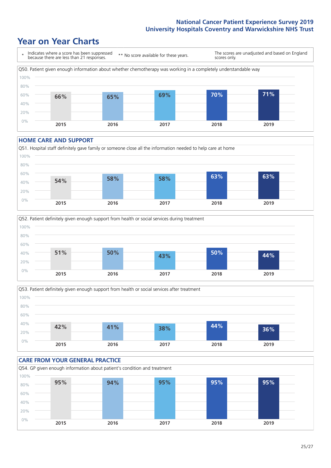### **Year on Year Charts**



#### **HOME CARE AND SUPPORT**







### **CARE FROM YOUR GENERAL PRACTICE** Q54. GP given enough information about patient's condition and treatment 0% 20% 40% 60% 80% 100% **2015 2016 2017 2018 2019 95% 94% 95% 95% 95%**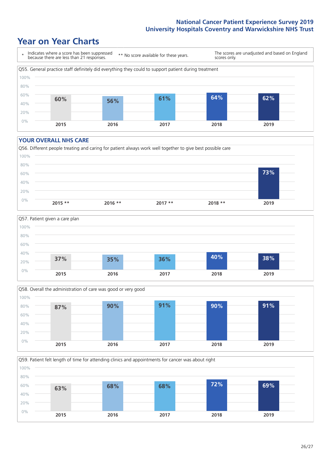### **Year on Year Charts**



#### **YOUR OVERALL NHS CARE**







Q59. Patient felt length of time for attending clinics and appointments for cancer was about right 100%